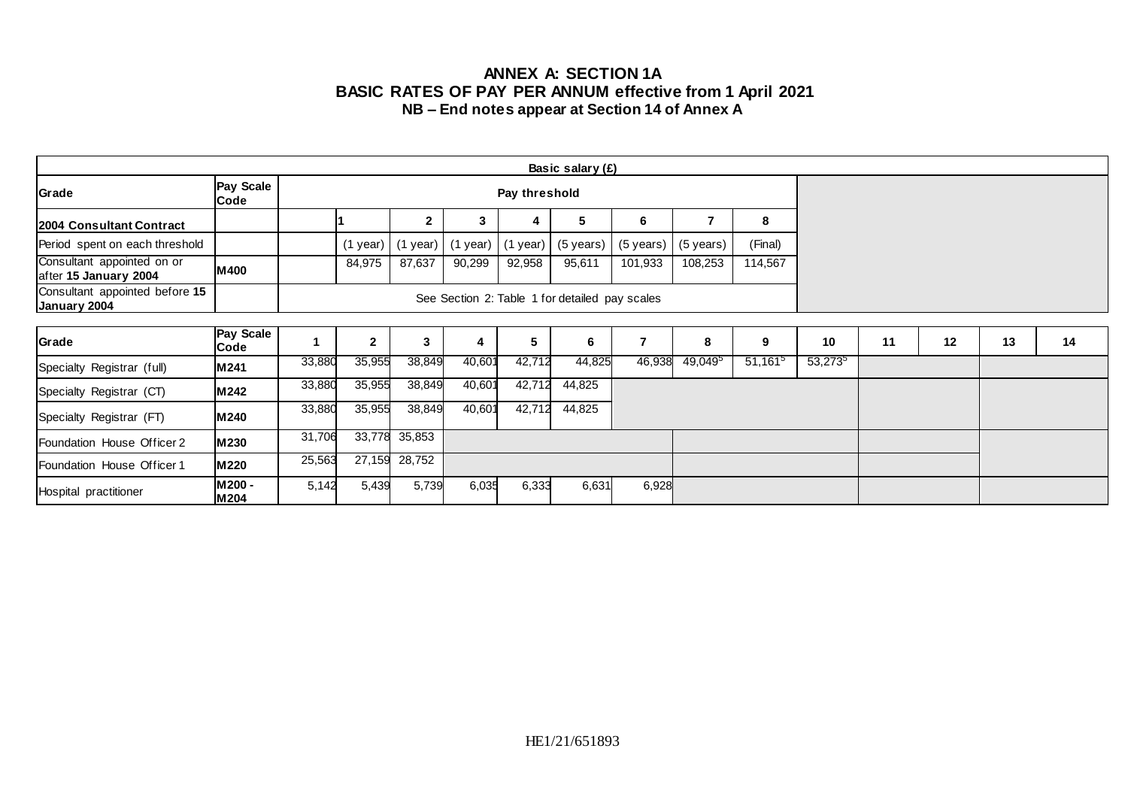### **ANNEX A: SECTION 1A BASIC RATES OF PAY PER ANNUM effective from 1 April 2021 NB – End notes appear at Section 14 of Annex A**

| Basic salary $(E)$                                  |                   |        |               |              |          |            |                                                |                |                     |            |            |    |    |    |    |
|-----------------------------------------------------|-------------------|--------|---------------|--------------|----------|------------|------------------------------------------------|----------------|---------------------|------------|------------|----|----|----|----|
| Grade                                               | Pay Scale<br>Code |        | Pay threshold |              |          |            |                                                |                |                     |            |            |    |    |    |    |
| 2004 Consultant Contract                            |                   |        |               | $\mathbf{2}$ | 3        | 4          | 5                                              | 6              | 7                   | 8          |            |    |    |    |    |
| Period spent on each threshold                      |                   |        | $(1$ year)    | $(1$ year)   | (1 year) | $(1$ year) | (5 years)                                      | (5 years)      | (5 years)           | (Final)    |            |    |    |    |    |
| Consultant appointed on or<br>after 15 January 2004 | M400              |        | 84,975        | 87,637       | 90,299   | 92,958     | 95,611                                         | 101,933        | 108,253             | 114,567    |            |    |    |    |    |
| Consultant appointed before 15<br>January 2004      |                   |        |               |              |          |            | See Section 2: Table 1 for detailed pay scales |                |                     |            |            |    |    |    |    |
|                                                     |                   |        |               |              |          |            |                                                |                |                     |            |            |    |    |    |    |
| Grade                                               | Pay Scale<br>Code |        | $\mathbf{2}$  | 3            | 4        | 5          | 6                                              | $\overline{7}$ | 8                   | 9          | 10         | 11 | 12 | 13 | 14 |
| Specialty Registrar (full)                          | M241              | 33,880 | 35,955        | 38,849       | 40,601   | 42,712     | 44,825                                         | 46,938         | 49,049 <sup>5</sup> | $51,161^5$ | $53,273^5$ |    |    |    |    |
| Specialty Registrar (CT)                            | M242              | 33,880 | 35,955        | 38,849       | 40,601   | 42,712     | 44,825                                         |                |                     |            |            |    |    |    |    |
| Specialty Registrar (FT)                            | M 240             | 33,880 | 35,955        | 38,849       | 40,601   | 42,712     | 44,825                                         |                |                     |            |            |    |    |    |    |
| Foundation House Officer 2                          | M230              | 31,706 | 33,778        | 35,853       |          |            |                                                |                |                     |            |            |    |    |    |    |
| Foundation House Officer 1                          | M220              | 25,563 | 27,159        | 28,752       |          |            |                                                |                |                     |            |            |    |    |    |    |
| Hospital practitioner                               | M200 -<br>M 204   | 5,142  | 5,439         | 5,739        | 6,035    | 6,333      | 6,631                                          | 6,928          |                     |            |            |    |    |    |    |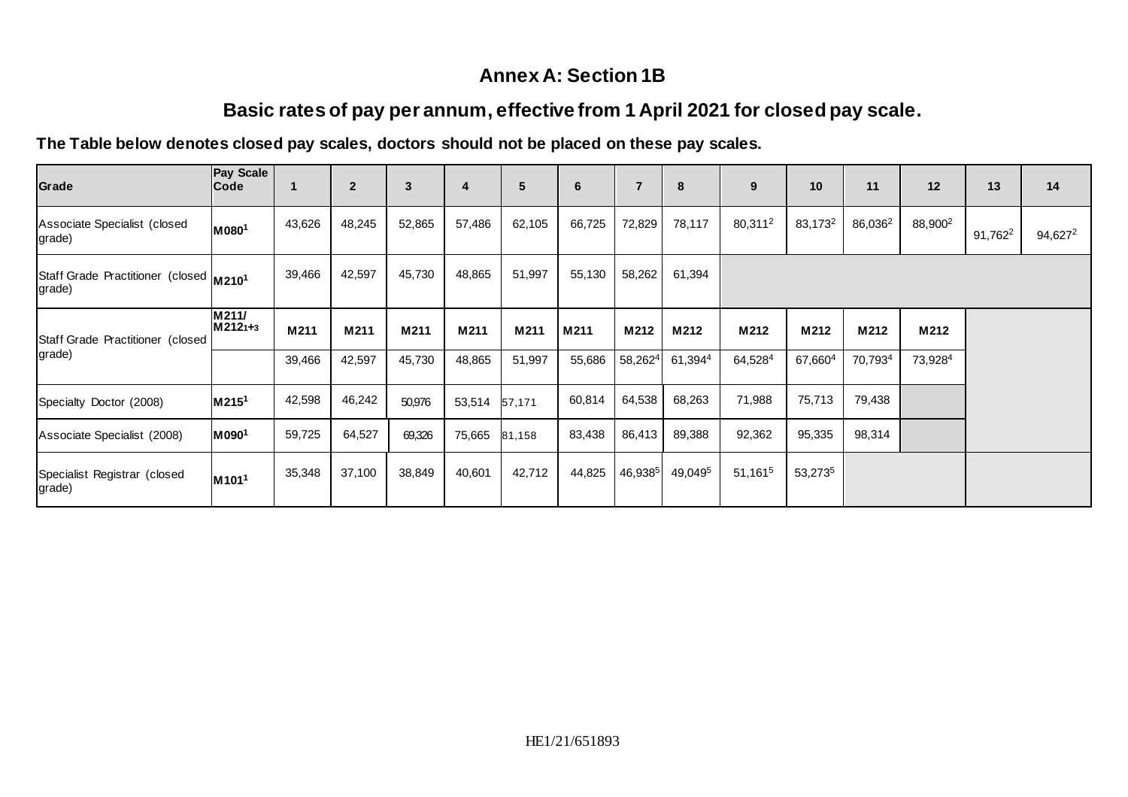## **Annex A: Section 1B**

# **Basic rates of pay per annum, effective from 1 April 2021 for closed pay scale.**

## **The Table below denotes closed pay scales, doctors should not be placed on these pay scales.**

| Grade                                            | Pay Scale<br><b>Code</b>      |        | $\overline{2}$ | 3      | $\overline{4}$ | $5\phantom{.0}$ | $\bf 6$ | $\overline{7}$ | 8                   | 9                   | 10                  | 11                  | 12                  | 13         | 14         |
|--------------------------------------------------|-------------------------------|--------|----------------|--------|----------------|-----------------|---------|----------------|---------------------|---------------------|---------------------|---------------------|---------------------|------------|------------|
| Associate Specialist (closed<br>grade)           | M0801                         | 43,626 | 48,245         | 52,865 | 57,486         | 62,105          | 66,725  | 72,829         | 78,117              | 80,311 <sup>2</sup> | 83,173 <sup>2</sup> | 86,036 <sup>2</sup> | 88,900 <sup>2</sup> | $91,762^2$ | $94,627^2$ |
| Staff Grade Practitioner (closed M2101<br>grade) |                               | 39,466 | 42,597         | 45,730 | 48,865         | 51,997          | 55,130  | 58,262         | 61,394              |                     |                     |                     |                     |            |            |
| Staff Grade Practitioner (closed<br>grade)       | M211/<br>M2121+3              | M211   | M211           | M211   | M211           | M211            | M211    | M212           | M212                | M212                | M212                | M212                | M212                |            |            |
|                                                  |                               | 39,466 | 42,597         | 45,730 | 48,865         | 51,997          | 55,686  | $58,262^4$     | 61,3944             | 64,5284             | 67,660 <sup>4</sup> | 70,7934             | 73,9284             |            |            |
| Specialty Doctor (2008)                          | M215 <sup>1</sup>             | 42,598 | 46,242         | 50,976 | 53,514         | 57,171          | 60,814  | 64,538         | 68,263              | 71,988              | 75,713              | 79,438              |                     |            |            |
| Associate Specialist (2008)                      | M090 <sup>1</sup>             | 59,725 | 64,527         | 69,326 | 75,665         | 81,158          | 83,438  | 86,413         | 89,388              | 92,362              | 95,335              | 98,314              |                     |            |            |
| Specialist Registrar (closed<br>grade)           | M <sub>101</sub> <sup>1</sup> | 35,348 | 37,100         | 38,849 | 40,601         | 42,712          | 44,825  | 46,9385        | 49,049 <sup>5</sup> | 51,161 <sup>5</sup> | 53,2735             |                     |                     |            |            |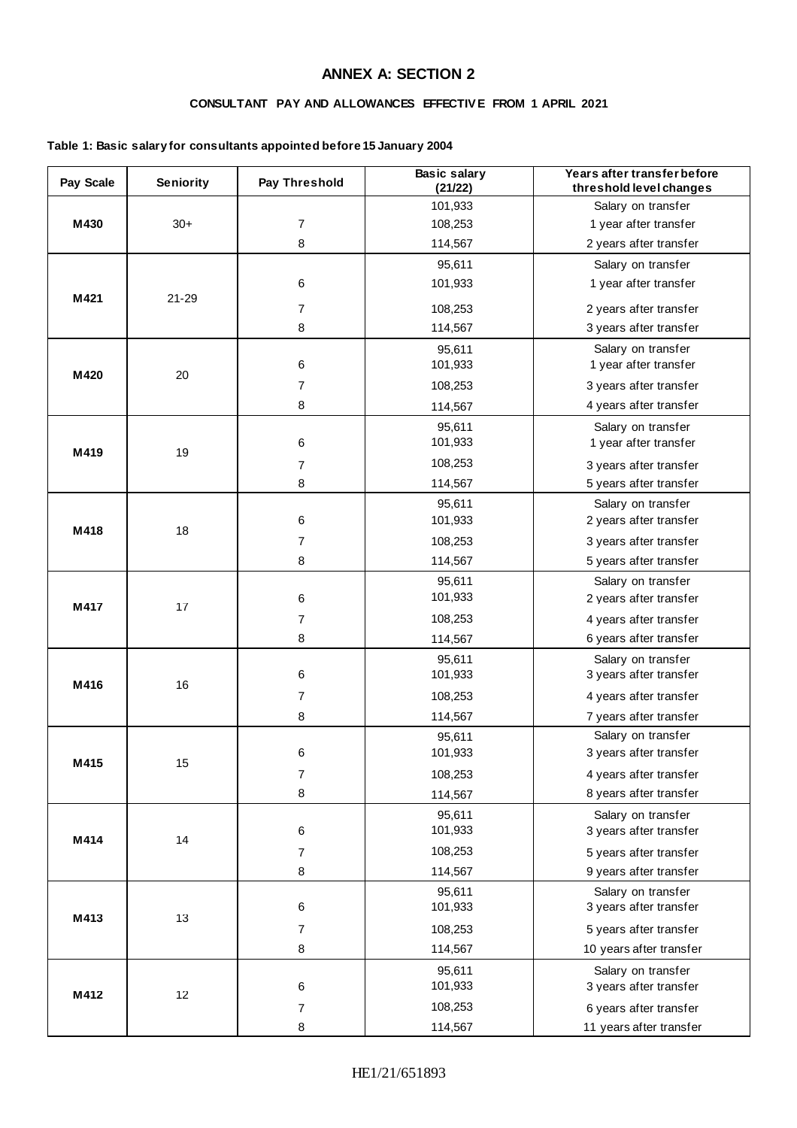### **ANNEX A: SECTION 2**

### **CONSULTANT PAY AND ALLOWANCES EFFECTIV E FROM 1 APRIL 2021**

#### **Table 1: Basic salary for consultants appointed before 15 January 2004**

| Pay Scale | Seniority | Pay Threshold  | <b>Basic salary</b><br>(21/22) | Years after transfer before<br>threshold level changes |  |  |  |  |
|-----------|-----------|----------------|--------------------------------|--------------------------------------------------------|--|--|--|--|
|           |           |                | 101,933                        | Salary on transfer                                     |  |  |  |  |
| M430      | $30+$     | $\overline{7}$ | 108,253                        | 1 year after transfer                                  |  |  |  |  |
|           |           | 8              | 114,567                        | 2 years after transfer                                 |  |  |  |  |
|           |           |                | 95,611                         | Salary on transfer                                     |  |  |  |  |
|           |           | 6              | 101,933                        | 1 year after transfer                                  |  |  |  |  |
| M421      | $21 - 29$ | $\overline{7}$ | 108,253                        | 2 years after transfer                                 |  |  |  |  |
|           |           | 8              | 114,567                        | 3 years after transfer                                 |  |  |  |  |
|           |           |                | 95,611                         | Salary on transfer                                     |  |  |  |  |
|           |           | 6              | 101,933                        | 1 year after transfer                                  |  |  |  |  |
| M420      | 20        | $\overline{7}$ | 108,253                        | 3 years after transfer                                 |  |  |  |  |
|           |           | 8              | 114,567                        | 4 years after transfer                                 |  |  |  |  |
|           |           |                | 95,611                         | Salary on transfer                                     |  |  |  |  |
|           |           | 6              | 101,933                        | 1 year after transfer                                  |  |  |  |  |
| M419      | 19        | $\overline{7}$ | 108,253                        | 3 years after transfer                                 |  |  |  |  |
|           |           | 8              | 114,567                        | 5 years after transfer                                 |  |  |  |  |
|           |           |                | 95,611                         | Salary on transfer                                     |  |  |  |  |
|           |           | 6              | 101,933                        | 2 years after transfer                                 |  |  |  |  |
| M418      | 18        | 7              | 108,253                        | 3 years after transfer                                 |  |  |  |  |
|           |           | 8              | 114,567                        | 5 years after transfer                                 |  |  |  |  |
|           |           |                | 95,611                         | Salary on transfer                                     |  |  |  |  |
| M417      | 17        | $\,6\,$        | 101,933                        | 2 years after transfer                                 |  |  |  |  |
|           |           | $\overline{7}$ | 108,253                        | 4 years after transfer                                 |  |  |  |  |
|           |           | 8              | 114,567                        | 6 years after transfer                                 |  |  |  |  |
|           |           |                | 95,611                         | Salary on transfer                                     |  |  |  |  |
|           |           | $\,6\,$        | 101,933                        | 3 years after transfer                                 |  |  |  |  |
| M416      | 16        | $\overline{7}$ | 108,253                        | 4 years after transfer                                 |  |  |  |  |
|           |           | 8              | 114,567                        | 7 years after transfer                                 |  |  |  |  |
|           |           |                | 95,611                         | Salary on transfer                                     |  |  |  |  |
|           |           | 6              | 101,933                        | 3 years after transfer                                 |  |  |  |  |
| M415      | 15        | $\overline{7}$ | 108,253                        | 4 years after transfer                                 |  |  |  |  |
|           |           | 8              | 114,567                        | 8 years after transfer                                 |  |  |  |  |
|           |           |                | 95,611                         | Salary on transfer                                     |  |  |  |  |
| M414      | 14        | 6              | 101,933                        | 3 years after transfer                                 |  |  |  |  |
|           |           | $\overline{7}$ | 108,253                        | 5 years after transfer                                 |  |  |  |  |
|           |           | 8              | 114,567                        | 9 years after transfer                                 |  |  |  |  |
|           |           |                | 95,611                         | Salary on transfer                                     |  |  |  |  |
| M413      | 13        | $\,6\,$        | 101,933                        | 3 years after transfer                                 |  |  |  |  |
|           |           | $\overline{7}$ | 108,253                        | 5 years after transfer                                 |  |  |  |  |
|           |           | $\,8\,$        | 114,567                        | 10 years after transfer                                |  |  |  |  |
|           |           |                | 95,611                         | Salary on transfer                                     |  |  |  |  |
| M412      | 12        | $\,6\,$        | 101,933                        | 3 years after transfer                                 |  |  |  |  |
|           |           | $\overline{7}$ | 108,253                        | 6 years after transfer                                 |  |  |  |  |
|           |           | 8              | 114,567                        | 11 years after transfer                                |  |  |  |  |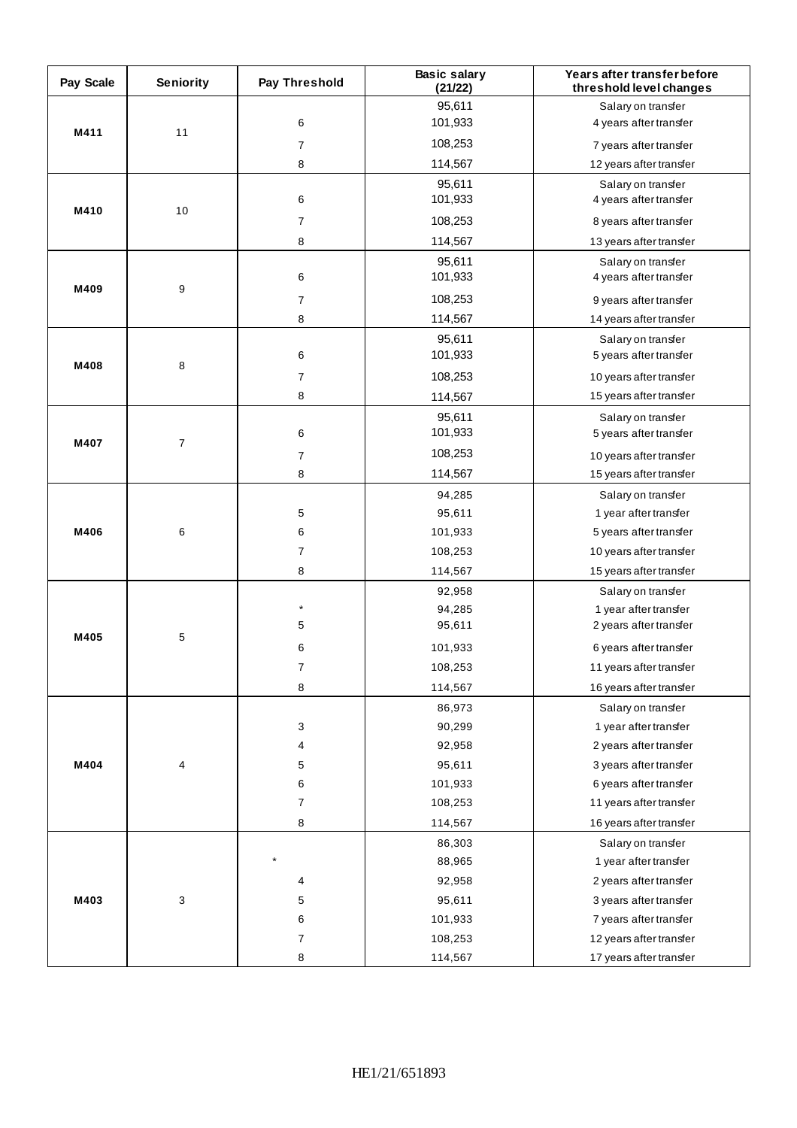| Pay Scale | Seniority   | Pay Threshold  | <b>Basic salary</b><br>(21/22) | Years after transfer before<br>threshold level changes |  |  |  |  |
|-----------|-------------|----------------|--------------------------------|--------------------------------------------------------|--|--|--|--|
|           |             |                | 95,611                         | Salary on transfer                                     |  |  |  |  |
| M411      | 11          | 6              | 101,933                        | 4 years after transfer                                 |  |  |  |  |
|           |             | $\overline{7}$ | 108,253                        | 7 years after transfer                                 |  |  |  |  |
|           |             | 8              | 114,567                        | 12 years after transfer                                |  |  |  |  |
|           |             |                | 95,611                         | Salary on transfer                                     |  |  |  |  |
| M410      | 10          | 6              | 101,933                        | 4 years after transfer                                 |  |  |  |  |
|           |             | $\overline{7}$ | 108,253                        | 8 years after transfer                                 |  |  |  |  |
|           |             | 8              | 114,567                        | 13 years after transfer                                |  |  |  |  |
|           |             |                | 95,611                         | Salary on transfer                                     |  |  |  |  |
| M409      | 9           | 6              | 101,933                        | 4 years after transfer                                 |  |  |  |  |
|           |             | $\overline{7}$ | 108,253                        | 9 years after transfer                                 |  |  |  |  |
|           |             | 8              | 114,567                        | 14 years after transfer                                |  |  |  |  |
|           |             |                | 95,611                         | Salary on transfer                                     |  |  |  |  |
| M408      | 8           | 6              | 101,933                        | 5 years after transfer                                 |  |  |  |  |
|           |             | $\overline{7}$ | 108,253                        | 10 years after transfer                                |  |  |  |  |
|           |             | 8              | 114,567                        | 15 years after transfer                                |  |  |  |  |
|           |             |                | 95,611                         | Salary on transfer                                     |  |  |  |  |
| M407      | 7           | 6              | 101,933                        | 5 years after transfer                                 |  |  |  |  |
|           |             | $\overline{7}$ | 108,253                        | 10 years after transfer                                |  |  |  |  |
|           |             | 8              | 114,567                        | 15 years after transfer                                |  |  |  |  |
|           | 6           |                | 94,285                         | Salary on transfer                                     |  |  |  |  |
|           |             | 5              | 95,611                         | 1 year after transfer                                  |  |  |  |  |
| M406      |             | 6              | 101,933                        | 5 years after transfer                                 |  |  |  |  |
|           |             | $\overline{7}$ | 108,253                        | 10 years after transfer                                |  |  |  |  |
|           |             | 8              | 114,567                        | 15 years after transfer                                |  |  |  |  |
|           |             |                | 92,958                         | Salary on transfer                                     |  |  |  |  |
|           |             | $\star$        | 94,285                         | 1 year after transfer                                  |  |  |  |  |
| M405      | $\mathbf 5$ | 5              | 95,611                         | 2 years after transfer                                 |  |  |  |  |
|           |             | 6              | 101,933                        | 6 years after transfer                                 |  |  |  |  |
|           |             | 7              | 108,253                        | 11 years after transfer                                |  |  |  |  |
|           |             | 8              | 114,567                        | 16 years after transfer                                |  |  |  |  |
|           |             |                | 86,973                         | Salary on transfer                                     |  |  |  |  |
|           |             | 3              | 90,299                         | 1 year after transfer                                  |  |  |  |  |
|           |             | 4              | 92,958                         | 2 years after transfer                                 |  |  |  |  |
| M404      | 4           | 5              | 95,611                         | 3 years after transfer                                 |  |  |  |  |
|           |             | 6              | 101,933                        | 6 years after transfer                                 |  |  |  |  |
|           |             | $\overline{7}$ | 108,253                        | 11 years after transfer                                |  |  |  |  |
|           |             | 8              | 114,567                        | 16 years after transfer                                |  |  |  |  |
|           |             |                | 86,303                         | Salary on transfer                                     |  |  |  |  |
|           |             |                | 88,965                         | 1 year after transfer                                  |  |  |  |  |
|           |             | 4              | 92,958                         | 2 years after transfer                                 |  |  |  |  |
| M403      | 3           | 5              | 95,611                         | 3 years after transfer                                 |  |  |  |  |
|           |             | 6              | 101,933                        | 7 years after transfer                                 |  |  |  |  |
|           |             | 7              | 108,253                        | 12 years after transfer                                |  |  |  |  |
|           |             | 8              | 114,567                        | 17 years after transfer                                |  |  |  |  |